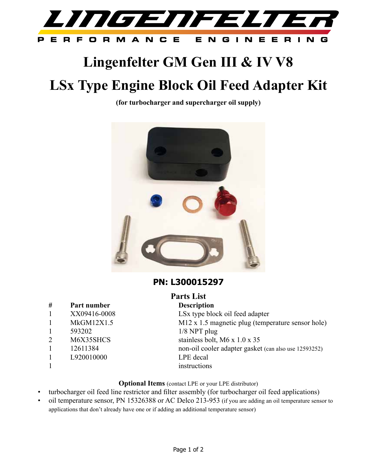

## **Lingenfelter GM Gen III & IV V8**

# **LSx Type Engine Block Oil Feed Adapter Kit**

**(for turbocharger and supercharger oil supply)**



### **PN: L300015297**

#### **# Part number Description**

- 
- 
- 1 593202 1/8 NPT plug
- 
- 
- 1 L920010000 LPE decal
- 

**Parts List** 1 XX09416-0008 LSx type block oil feed adapter 1 MkGM12X1.5 M12 x 1.5 magnetic plug (temperature sensor hole) 2 M6X35SHCS stainless bolt, M6 x 1.0 x 35 1 12611384 non-oil cooler adapter gasket (can also use 12593252) 1 instructions

#### **Optional Items** (contact LPE or your LPE distributor)

- turbocharger oil feed line restrictor and filter assembly (for turbocharger oil feed applications)
- oil temperature sensor, PN 15326388 or AC Delco 213-953 (if you are adding an oil temperature sensor to applications that don't already have one or if adding an additional temperature sensor)